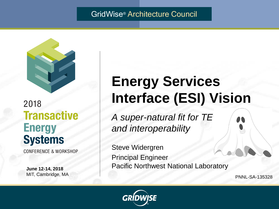### GridWise® Architecture Council



# 2018 **Transactive Energy Systems**

**CONFERENCE & WORKSHOP** 

**June 12-14, 2018** MIT, Cambridge, MA

# **Energy Services Interface (ESI) Vision**

*A super-natural fit for TE and interoperability*

Steve Widergren Principal Engineer Pacific Northwest National Laboratory

PNNL-SA-135328

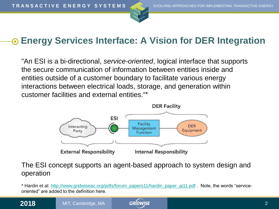



### **Energy Services Interface: A Vision for DER Integration**

"An ESI is a bi-directional, *service-oriented*, logical interface that supports the secure communication of information between entities inside and entities outside of a customer boundary to facilitate various energy interactions between electrical loads, storage, and generation within customer facilities and external entities."\*



#### The ESI concept supports an agent-based approach to system design and operation

\* Hardin et al: [http://www.gridwiseac.org/pdfs/forum\\_papers11/hardin\\_paper\\_gi11.pdf](http://www.gridwiseac.org/pdfs/forum_papers11/hardin_paper_gi11.pdf) . Note, the words "serviceoriented" are added to the definition here.

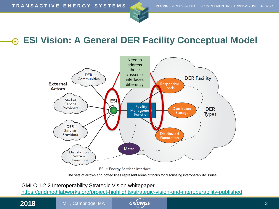



#### **ESI Vision: A General DER Facility Conceptual Model** 0



The sets of arrows and dotted lines represent areas of focus for discussing interoperability issues

#### GMLC 1.2.2 Interoperability Strategic Vision whitepaper

<https://gridmod.labworks.org/project-highlights/strategic-vision-grid-interoperability-published>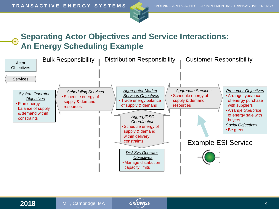



### **Separating Actor Objectives and Service Interactions: An Energy Scheduling Example**



 $\bullet$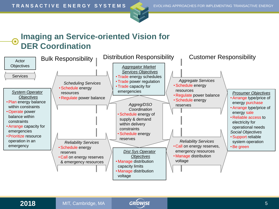



### **Imaging an Service-oriented Vision for DER Coordination**



 $\bigodot$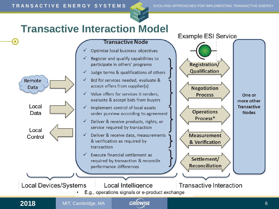

# **Transactive Interaction Model**



#### **Transactive Node**

- Optimize local business objectives
- Register and qualify capabilities to participate in others' programs
- Judge terms & qualifications of others
- Bid for services needed, evaluate & accept offers from supplier(s)
- Value offers for services it renders. evaluate & accept bids from buyers
- Implement control of local assets under purview according to agreement
- Deliver & receive products, rights, or service required by transaction
- Deliver & receive data, measurements & verification as required by transaction
- Execute financial settlement as required by transaction & reconcile performance differences





**Transactive Interaction** 

E.g., operations signals or e-product exchange

Local Intelligence

 $\bullet$